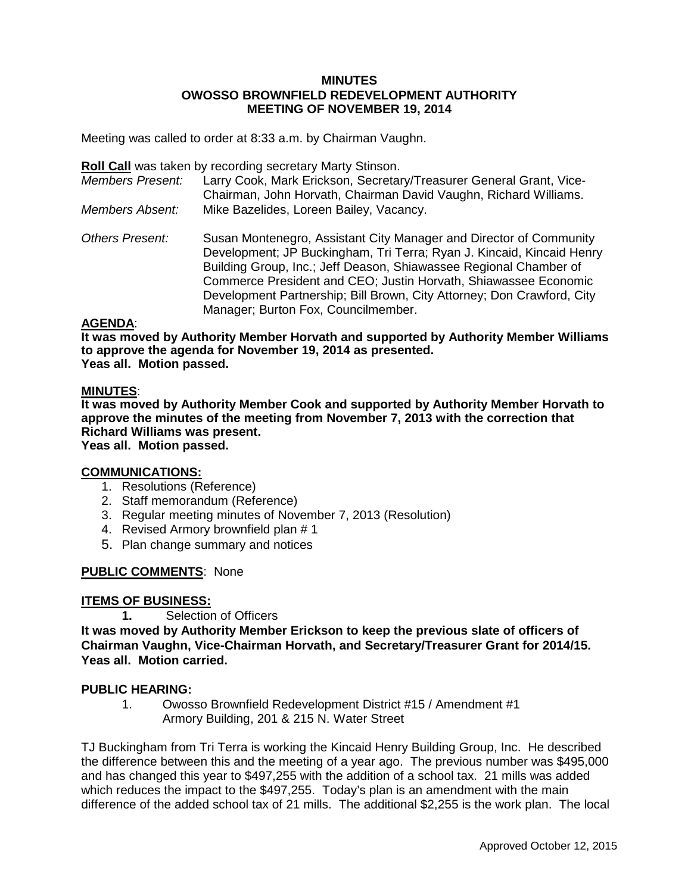#### **MINUTES OWOSSO BROWNFIELD REDEVELOPMENT AUTHORITY MEETING OF NOVEMBER 19, 2014**

Meeting was called to order at 8:33 a.m. by Chairman Vaughn.

**Roll Call** was taken by recording secretary Marty Stinson.

| <b>Members Present:</b> | Larry Cook, Mark Erickson, Secretary/Treasurer General Grant, Vice-<br>Chairman, John Horvath, Chairman David Vaughn, Richard Williams.                                                                                                                                                                                                                                                              |
|-------------------------|------------------------------------------------------------------------------------------------------------------------------------------------------------------------------------------------------------------------------------------------------------------------------------------------------------------------------------------------------------------------------------------------------|
| <b>Members Absent:</b>  | Mike Bazelides, Loreen Bailey, Vacancy.                                                                                                                                                                                                                                                                                                                                                              |
| <b>Others Present:</b>  | Susan Montenegro, Assistant City Manager and Director of Community<br>Development; JP Buckingham, Tri Terra; Ryan J. Kincaid, Kincaid Henry<br>Building Group, Inc.; Jeff Deason, Shiawassee Regional Chamber of<br>Commerce President and CEO; Justin Horvath, Shiawassee Economic<br>Development Partnership; Bill Brown, City Attorney; Don Crawford, City<br>Manager; Burton Fox, Councilmember. |

## **AGENDA**:

**It was moved by Authority Member Horvath and supported by Authority Member Williams to approve the agenda for November 19, 2014 as presented. Yeas all. Motion passed.**

## **MINUTES**:

**It was moved by Authority Member Cook and supported by Authority Member Horvath to approve the minutes of the meeting from November 7, 2013 with the correction that Richard Williams was present.**

**Yeas all. Motion passed.**

# **COMMUNICATIONS:**

- 1. Resolutions (Reference)
- 2. Staff memorandum (Reference)
- 3. Regular meeting minutes of November 7, 2013 (Resolution)
- 4. Revised Armory brownfield plan # 1
- 5. Plan change summary and notices

# **PUBLIC COMMENTS**: None

# **ITEMS OF BUSINESS:**

**1.** Selection of Officers

**It was moved by Authority Member Erickson to keep the previous slate of officers of Chairman Vaughn, Vice-Chairman Horvath, and Secretary/Treasurer Grant for 2014/15. Yeas all. Motion carried.**

#### **PUBLIC HEARING:**

1. Owosso Brownfield Redevelopment District #15 / Amendment #1 Armory Building, 201 & 215 N. Water Street

TJ Buckingham from Tri Terra is working the Kincaid Henry Building Group, Inc. He described the difference between this and the meeting of a year ago. The previous number was \$495,000 and has changed this year to \$497,255 with the addition of a school tax. 21 mills was added which reduces the impact to the \$497,255. Today's plan is an amendment with the main difference of the added school tax of 21 mills. The additional \$2,255 is the work plan. The local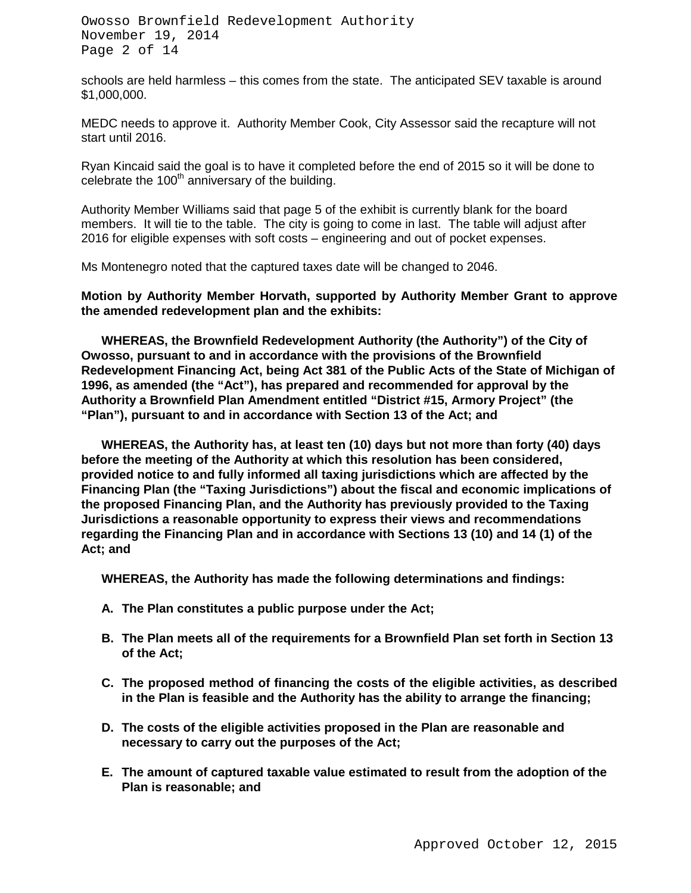Owosso Brownfield Redevelopment Authority November 19, 2014 Page 2 of 14

schools are held harmless – this comes from the state. The anticipated SEV taxable is around \$1,000,000.

MEDC needs to approve it. Authority Member Cook, City Assessor said the recapture will not start until 2016.

Ryan Kincaid said the goal is to have it completed before the end of 2015 so it will be done to celebrate the  $100<sup>th</sup>$  anniversary of the building.

Authority Member Williams said that page 5 of the exhibit is currently blank for the board members. It will tie to the table. The city is going to come in last. The table will adjust after 2016 for eligible expenses with soft costs – engineering and out of pocket expenses.

Ms Montenegro noted that the captured taxes date will be changed to 2046.

**Motion by Authority Member Horvath, supported by Authority Member Grant to approve the amended redevelopment plan and the exhibits:**

**WHEREAS, the Brownfield Redevelopment Authority (the Authority") of the City of Owosso, pursuant to and in accordance with the provisions of the Brownfield Redevelopment Financing Act, being Act 381 of the Public Acts of the State of Michigan of 1996, as amended (the "Act"), has prepared and recommended for approval by the Authority a Brownfield Plan Amendment entitled "District #15, Armory Project" (the "Plan"), pursuant to and in accordance with Section 13 of the Act; and**

**WHEREAS, the Authority has, at least ten (10) days but not more than forty (40) days before the meeting of the Authority at which this resolution has been considered, provided notice to and fully informed all taxing jurisdictions which are affected by the Financing Plan (the "Taxing Jurisdictions") about the fiscal and economic implications of the proposed Financing Plan, and the Authority has previously provided to the Taxing Jurisdictions a reasonable opportunity to express their views and recommendations regarding the Financing Plan and in accordance with Sections 13 (10) and 14 (1) of the Act; and**

**WHEREAS, the Authority has made the following determinations and findings:**

- **A. The Plan constitutes a public purpose under the Act;**
- **B. The Plan meets all of the requirements for a Brownfield Plan set forth in Section 13 of the Act;**
- **C. The proposed method of financing the costs of the eligible activities, as described in the Plan is feasible and the Authority has the ability to arrange the financing;**
- **D. The costs of the eligible activities proposed in the Plan are reasonable and necessary to carry out the purposes of the Act;**
- **E. The amount of captured taxable value estimated to result from the adoption of the Plan is reasonable; and**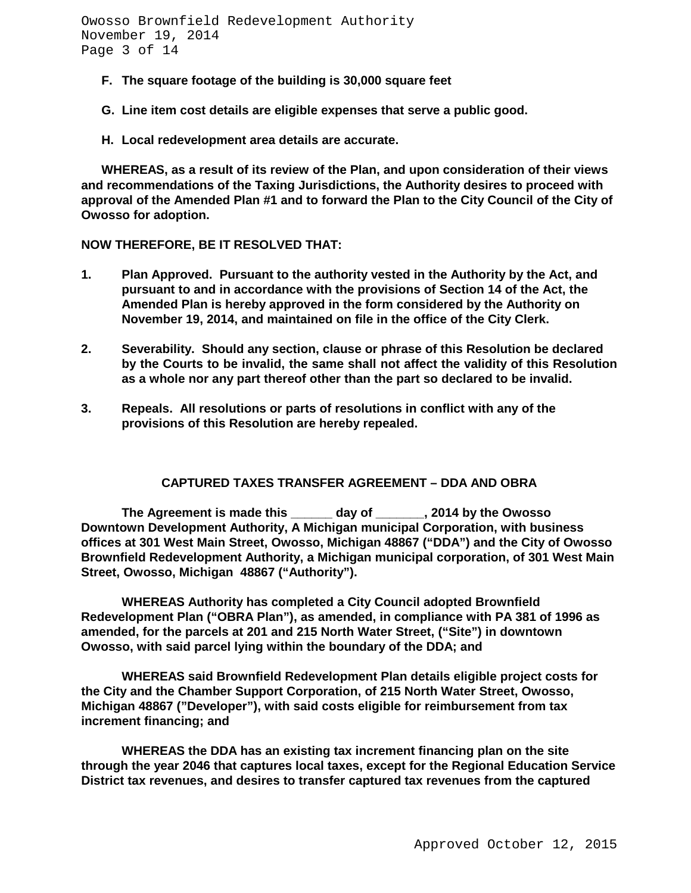Owosso Brownfield Redevelopment Authority November 19, 2014 Page 3 of 14

- **F. The square footage of the building is 30,000 square feet**
- **G. Line item cost details are eligible expenses that serve a public good.**
- **H. Local redevelopment area details are accurate.**

**WHEREAS, as a result of its review of the Plan, and upon consideration of their views and recommendations of the Taxing Jurisdictions, the Authority desires to proceed with approval of the Amended Plan #1 and to forward the Plan to the City Council of the City of Owosso for adoption.**

**NOW THEREFORE, BE IT RESOLVED THAT:**

- **1. Plan Approved. Pursuant to the authority vested in the Authority by the Act, and pursuant to and in accordance with the provisions of Section 14 of the Act, the Amended Plan is hereby approved in the form considered by the Authority on November 19, 2014, and maintained on file in the office of the City Clerk.**
- **2. Severability. Should any section, clause or phrase of this Resolution be declared by the Courts to be invalid, the same shall not affect the validity of this Resolution as a whole nor any part thereof other than the part so declared to be invalid.**
- **3. Repeals. All resolutions or parts of resolutions in conflict with any of the provisions of this Resolution are hereby repealed.**

#### **CAPTURED TAXES TRANSFER AGREEMENT – DDA AND OBRA**

**The Agreement is made this \_\_\_\_\_\_ day of \_\_\_\_\_\_\_, 2014 by the Owosso Downtown Development Authority, A Michigan municipal Corporation, with business offices at 301 West Main Street, Owosso, Michigan 48867 ("DDA") and the City of Owosso Brownfield Redevelopment Authority, a Michigan municipal corporation, of 301 West Main Street, Owosso, Michigan 48867 ("Authority").**

**WHEREAS Authority has completed a City Council adopted Brownfield Redevelopment Plan ("OBRA Plan"), as amended, in compliance with PA 381 of 1996 as amended, for the parcels at 201 and 215 North Water Street, ("Site") in downtown Owosso, with said parcel lying within the boundary of the DDA; and**

**WHEREAS said Brownfield Redevelopment Plan details eligible project costs for the City and the Chamber Support Corporation, of 215 North Water Street, Owosso, Michigan 48867 ("Developer"), with said costs eligible for reimbursement from tax increment financing; and**

**WHEREAS the DDA has an existing tax increment financing plan on the site through the year 2046 that captures local taxes, except for the Regional Education Service District tax revenues, and desires to transfer captured tax revenues from the captured**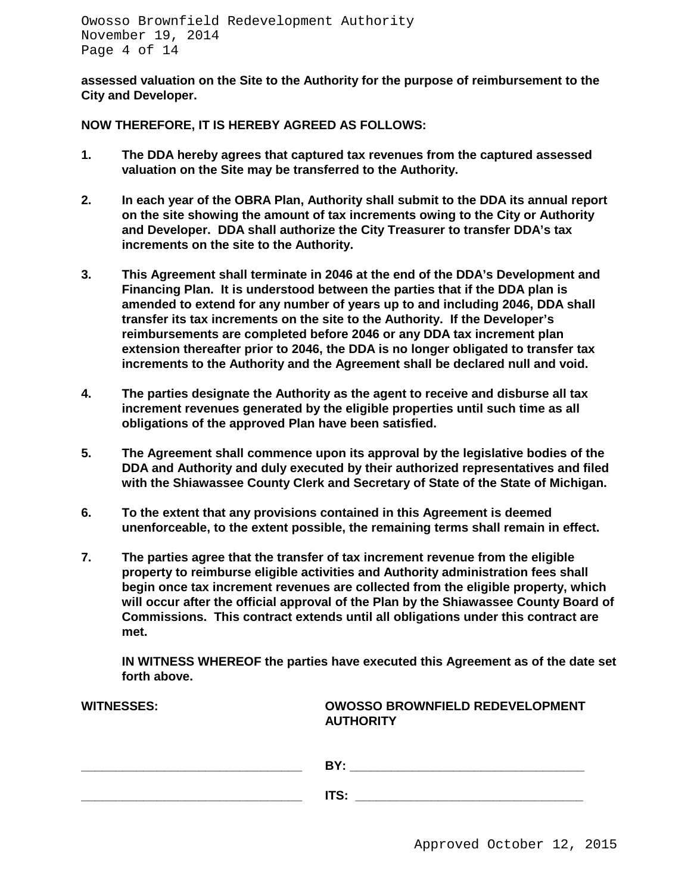**assessed valuation on the Site to the Authority for the purpose of reimbursement to the City and Developer.**

**NOW THEREFORE, IT IS HEREBY AGREED AS FOLLOWS:**

- **1. The DDA hereby agrees that captured tax revenues from the captured assessed valuation on the Site may be transferred to the Authority.**
- **2. In each year of the OBRA Plan, Authority shall submit to the DDA its annual report on the site showing the amount of tax increments owing to the City or Authority and Developer. DDA shall authorize the City Treasurer to transfer DDA's tax increments on the site to the Authority.**
- **3. This Agreement shall terminate in 2046 at the end of the DDA's Development and Financing Plan. It is understood between the parties that if the DDA plan is amended to extend for any number of years up to and including 2046, DDA shall transfer its tax increments on the site to the Authority. If the Developer's reimbursements are completed before 2046 or any DDA tax increment plan extension thereafter prior to 2046, the DDA is no longer obligated to transfer tax increments to the Authority and the Agreement shall be declared null and void.**
- **4. The parties designate the Authority as the agent to receive and disburse all tax increment revenues generated by the eligible properties until such time as all obligations of the approved Plan have been satisfied.**
- **5. The Agreement shall commence upon its approval by the legislative bodies of the DDA and Authority and duly executed by their authorized representatives and filed with the Shiawassee County Clerk and Secretary of State of the State of Michigan.**
- **6. To the extent that any provisions contained in this Agreement is deemed unenforceable, to the extent possible, the remaining terms shall remain in effect.**
- **7. The parties agree that the transfer of tax increment revenue from the eligible property to reimburse eligible activities and Authority administration fees shall begin once tax increment revenues are collected from the eligible property, which will occur after the official approval of the Plan by the Shiawassee County Board of Commissions. This contract extends until all obligations under this contract are met.**

**IN WITNESS WHEREOF the parties have executed this Agreement as of the date set forth above.**

| <b>WITNESSES:</b> | <b>OWOSSO BROWNFIELD REDEVELOPMENT</b><br><b>AUTHORITY</b> |
|-------------------|------------------------------------------------------------|
|                   | BY:                                                        |
|                   | ITS:                                                       |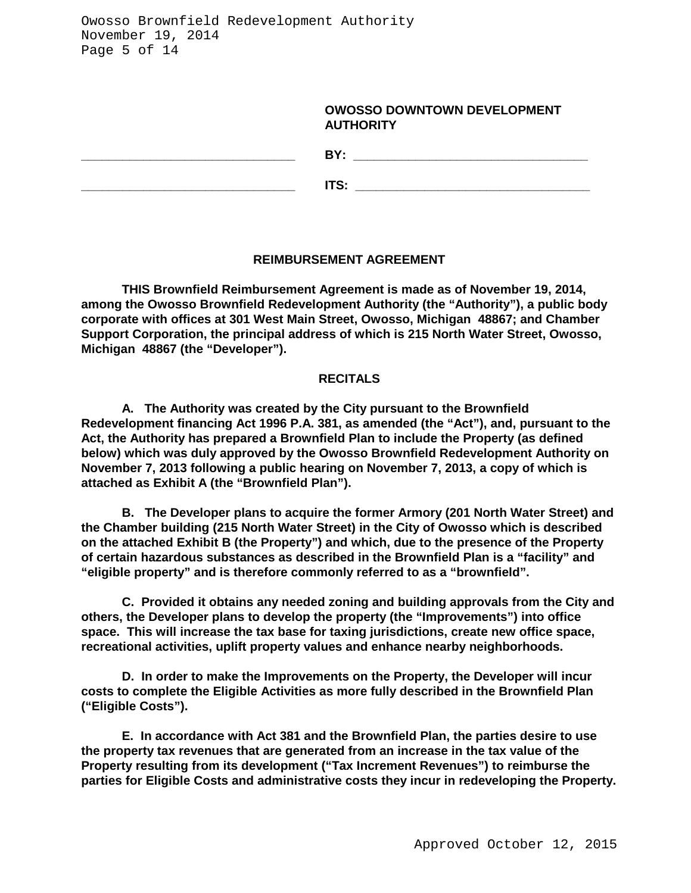Owosso Brownfield Redevelopment Authority November 19, 2014 Page 5 of 14

#### **OWOSSO DOWNTOWN DEVELOPMENT AUTHORITY**

| BY:        |
|------------|
| <b>ITS</b> |

#### **REIMBURSEMENT AGREEMENT**

**THIS Brownfield Reimbursement Agreement is made as of November 19, 2014, among the Owosso Brownfield Redevelopment Authority (the "Authority"), a public body corporate with offices at 301 West Main Street, Owosso, Michigan 48867; and Chamber Support Corporation, the principal address of which is 215 North Water Street, Owosso, Michigan 48867 (the "Developer").**

#### **RECITALS**

**A. The Authority was created by the City pursuant to the Brownfield Redevelopment financing Act 1996 P.A. 381, as amended (the "Act"), and, pursuant to the Act, the Authority has prepared a Brownfield Plan to include the Property (as defined below) which was duly approved by the Owosso Brownfield Redevelopment Authority on November 7, 2013 following a public hearing on November 7, 2013, a copy of which is attached as Exhibit A (the "Brownfield Plan").**

**B. The Developer plans to acquire the former Armory (201 North Water Street) and the Chamber building (215 North Water Street) in the City of Owosso which is described on the attached Exhibit B (the Property") and which, due to the presence of the Property of certain hazardous substances as described in the Brownfield Plan is a "facility" and "eligible property" and is therefore commonly referred to as a "brownfield".**

**C. Provided it obtains any needed zoning and building approvals from the City and others, the Developer plans to develop the property (the "Improvements") into office space. This will increase the tax base for taxing jurisdictions, create new office space, recreational activities, uplift property values and enhance nearby neighborhoods.**

**D. In order to make the Improvements on the Property, the Developer will incur costs to complete the Eligible Activities as more fully described in the Brownfield Plan ("Eligible Costs").**

**E. In accordance with Act 381 and the Brownfield Plan, the parties desire to use the property tax revenues that are generated from an increase in the tax value of the Property resulting from its development ("Tax Increment Revenues") to reimburse the parties for Eligible Costs and administrative costs they incur in redeveloping the Property.**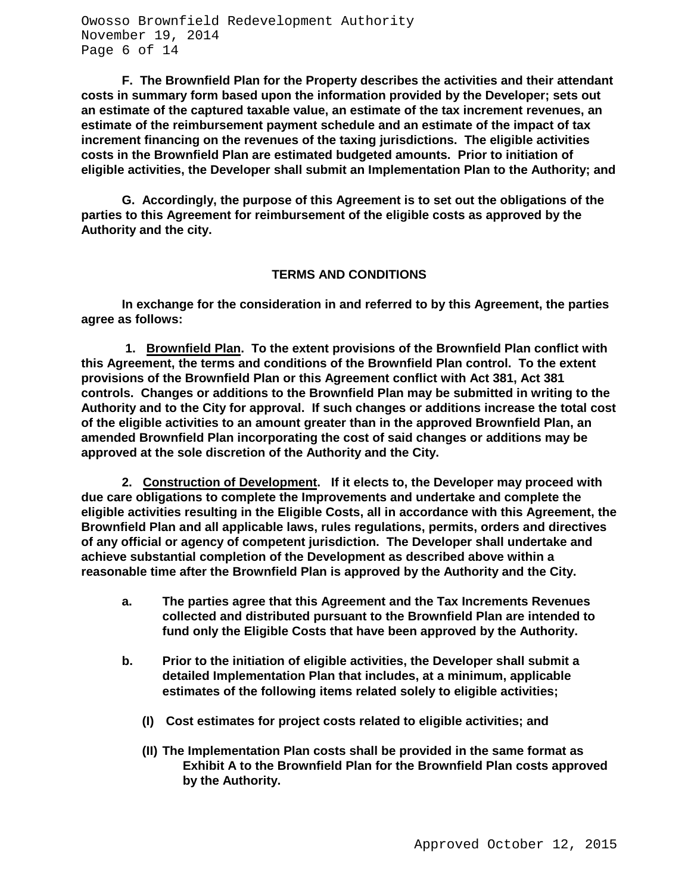Owosso Brownfield Redevelopment Authority November 19, 2014 Page 6 of 14

**F. The Brownfield Plan for the Property describes the activities and their attendant costs in summary form based upon the information provided by the Developer; sets out an estimate of the captured taxable value, an estimate of the tax increment revenues, an estimate of the reimbursement payment schedule and an estimate of the impact of tax increment financing on the revenues of the taxing jurisdictions. The eligible activities costs in the Brownfield Plan are estimated budgeted amounts. Prior to initiation of eligible activities, the Developer shall submit an Implementation Plan to the Authority; and** 

**G. Accordingly, the purpose of this Agreement is to set out the obligations of the parties to this Agreement for reimbursement of the eligible costs as approved by the Authority and the city.**

#### **TERMS AND CONDITIONS**

**In exchange for the consideration in and referred to by this Agreement, the parties agree as follows:**

**1. Brownfield Plan. To the extent provisions of the Brownfield Plan conflict with this Agreement, the terms and conditions of the Brownfield Plan control. To the extent provisions of the Brownfield Plan or this Agreement conflict with Act 381, Act 381 controls. Changes or additions to the Brownfield Plan may be submitted in writing to the Authority and to the City for approval. If such changes or additions increase the total cost of the eligible activities to an amount greater than in the approved Brownfield Plan, an amended Brownfield Plan incorporating the cost of said changes or additions may be approved at the sole discretion of the Authority and the City.**

**2. Construction of Development. If it elects to, the Developer may proceed with due care obligations to complete the Improvements and undertake and complete the eligible activities resulting in the Eligible Costs, all in accordance with this Agreement, the Brownfield Plan and all applicable laws, rules regulations, permits, orders and directives of any official or agency of competent jurisdiction. The Developer shall undertake and achieve substantial completion of the Development as described above within a reasonable time after the Brownfield Plan is approved by the Authority and the City.**

- **a. The parties agree that this Agreement and the Tax Increments Revenues collected and distributed pursuant to the Brownfield Plan are intended to fund only the Eligible Costs that have been approved by the Authority.**
- **b. Prior to the initiation of eligible activities, the Developer shall submit a detailed Implementation Plan that includes, at a minimum, applicable estimates of the following items related solely to eligible activities;**
	- **(I) Cost estimates for project costs related to eligible activities; and**
	- **(II) The Implementation Plan costs shall be provided in the same format as Exhibit A to the Brownfield Plan for the Brownfield Plan costs approved by the Authority.**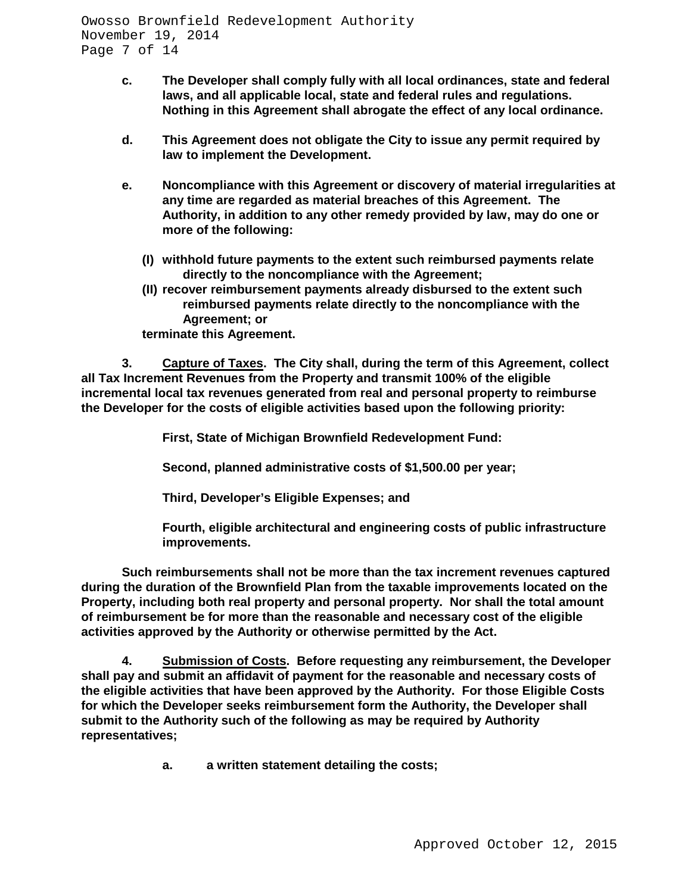- **c. The Developer shall comply fully with all local ordinances, state and federal laws, and all applicable local, state and federal rules and regulations. Nothing in this Agreement shall abrogate the effect of any local ordinance.**
- **d. This Agreement does not obligate the City to issue any permit required by law to implement the Development.**
- **e. Noncompliance with this Agreement or discovery of material irregularities at any time are regarded as material breaches of this Agreement. The Authority, in addition to any other remedy provided by law, may do one or more of the following:**
	- **(I) withhold future payments to the extent such reimbursed payments relate directly to the noncompliance with the Agreement;**
	- **(II) recover reimbursement payments already disbursed to the extent such reimbursed payments relate directly to the noncompliance with the Agreement; or**

**terminate this Agreement.**

**3. Capture of Taxes. The City shall, during the term of this Agreement, collect all Tax Increment Revenues from the Property and transmit 100% of the eligible incremental local tax revenues generated from real and personal property to reimburse the Developer for the costs of eligible activities based upon the following priority:**

**First, State of Michigan Brownfield Redevelopment Fund:**

**Second, planned administrative costs of \$1,500.00 per year;**

**Third, Developer's Eligible Expenses; and**

**Fourth, eligible architectural and engineering costs of public infrastructure improvements.**

**Such reimbursements shall not be more than the tax increment revenues captured during the duration of the Brownfield Plan from the taxable improvements located on the Property, including both real property and personal property. Nor shall the total amount of reimbursement be for more than the reasonable and necessary cost of the eligible activities approved by the Authority or otherwise permitted by the Act.**

**4. Submission of Costs. Before requesting any reimbursement, the Developer shall pay and submit an affidavit of payment for the reasonable and necessary costs of the eligible activities that have been approved by the Authority. For those Eligible Costs for which the Developer seeks reimbursement form the Authority, the Developer shall submit to the Authority such of the following as may be required by Authority representatives;**

**a. a written statement detailing the costs;**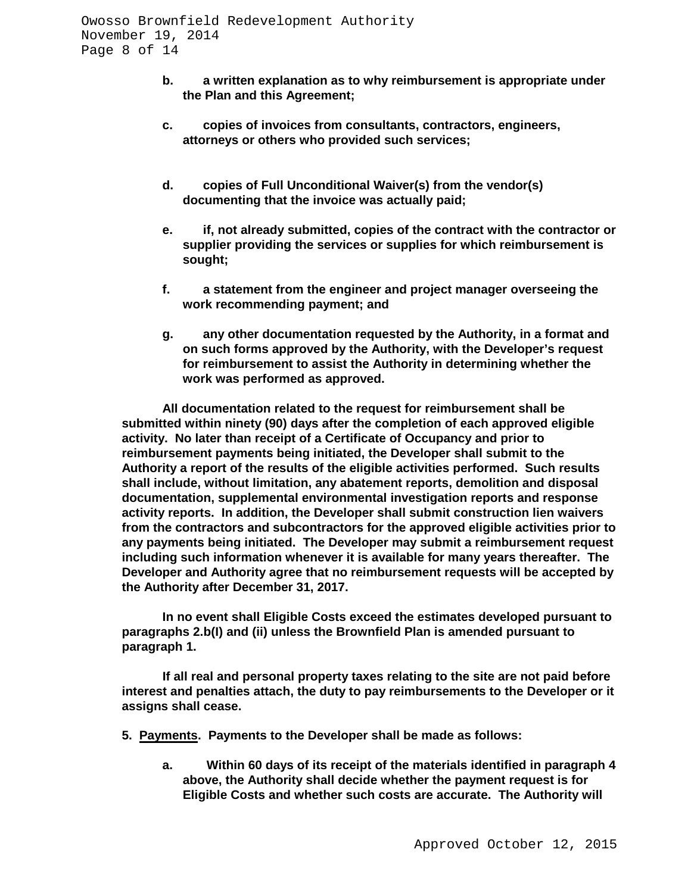- **b. a written explanation as to why reimbursement is appropriate under the Plan and this Agreement;**
- **c. copies of invoices from consultants, contractors, engineers, attorneys or others who provided such services;**
- **d. copies of Full Unconditional Waiver(s) from the vendor(s) documenting that the invoice was actually paid;**
- **e. if, not already submitted, copies of the contract with the contractor or supplier providing the services or supplies for which reimbursement is sought;**
- **f. a statement from the engineer and project manager overseeing the work recommending payment; and**
- **g. any other documentation requested by the Authority, in a format and on such forms approved by the Authority, with the Developer's request for reimbursement to assist the Authority in determining whether the work was performed as approved.**

**All documentation related to the request for reimbursement shall be submitted within ninety (90) days after the completion of each approved eligible activity. No later than receipt of a Certificate of Occupancy and prior to reimbursement payments being initiated, the Developer shall submit to the Authority a report of the results of the eligible activities performed. Such results shall include, without limitation, any abatement reports, demolition and disposal documentation, supplemental environmental investigation reports and response activity reports. In addition, the Developer shall submit construction lien waivers from the contractors and subcontractors for the approved eligible activities prior to any payments being initiated. The Developer may submit a reimbursement request including such information whenever it is available for many years thereafter. The Developer and Authority agree that no reimbursement requests will be accepted by the Authority after December 31, 2017.**

**In no event shall Eligible Costs exceed the estimates developed pursuant to paragraphs 2.b(I) and (ii) unless the Brownfield Plan is amended pursuant to paragraph 1.**

**If all real and personal property taxes relating to the site are not paid before interest and penalties attach, the duty to pay reimbursements to the Developer or it assigns shall cease.**

- **5. Payments. Payments to the Developer shall be made as follows:**
	- **a. Within 60 days of its receipt of the materials identified in paragraph 4 above, the Authority shall decide whether the payment request is for Eligible Costs and whether such costs are accurate. The Authority will**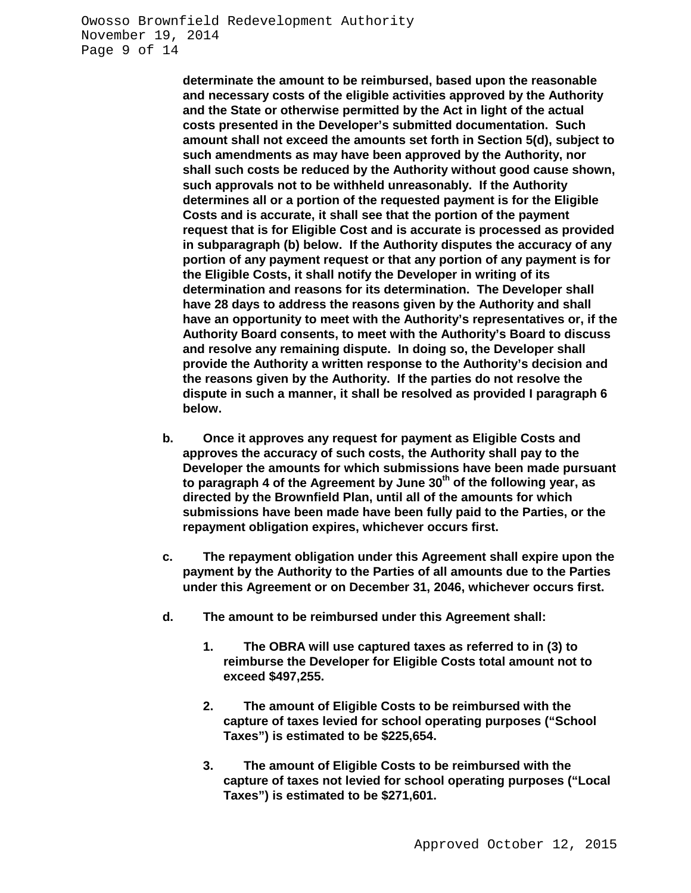**determinate the amount to be reimbursed, based upon the reasonable and necessary costs of the eligible activities approved by the Authority and the State or otherwise permitted by the Act in light of the actual costs presented in the Developer's submitted documentation. Such amount shall not exceed the amounts set forth in Section 5(d), subject to such amendments as may have been approved by the Authority, nor shall such costs be reduced by the Authority without good cause shown, such approvals not to be withheld unreasonably. If the Authority determines all or a portion of the requested payment is for the Eligible Costs and is accurate, it shall see that the portion of the payment request that is for Eligible Cost and is accurate is processed as provided in subparagraph (b) below. If the Authority disputes the accuracy of any portion of any payment request or that any portion of any payment is for the Eligible Costs, it shall notify the Developer in writing of its determination and reasons for its determination. The Developer shall have 28 days to address the reasons given by the Authority and shall have an opportunity to meet with the Authority's representatives or, if the Authority Board consents, to meet with the Authority's Board to discuss and resolve any remaining dispute. In doing so, the Developer shall provide the Authority a written response to the Authority's decision and the reasons given by the Authority. If the parties do not resolve the dispute in such a manner, it shall be resolved as provided I paragraph 6 below.**

- **b. Once it approves any request for payment as Eligible Costs and approves the accuracy of such costs, the Authority shall pay to the Developer the amounts for which submissions have been made pursuant**  to paragraph 4 of the Agreement by June 30<sup>th</sup> of the following year, as **directed by the Brownfield Plan, until all of the amounts for which submissions have been made have been fully paid to the Parties, or the repayment obligation expires, whichever occurs first.**
- **c. The repayment obligation under this Agreement shall expire upon the payment by the Authority to the Parties of all amounts due to the Parties under this Agreement or on December 31, 2046, whichever occurs first.**
- **d. The amount to be reimbursed under this Agreement shall:**
	- **1. The OBRA will use captured taxes as referred to in (3) to reimburse the Developer for Eligible Costs total amount not to exceed \$497,255.**
	- **2. The amount of Eligible Costs to be reimbursed with the capture of taxes levied for school operating purposes ("School Taxes") is estimated to be \$225,654.**
	- **3. The amount of Eligible Costs to be reimbursed with the capture of taxes not levied for school operating purposes ("Local Taxes") is estimated to be \$271,601.**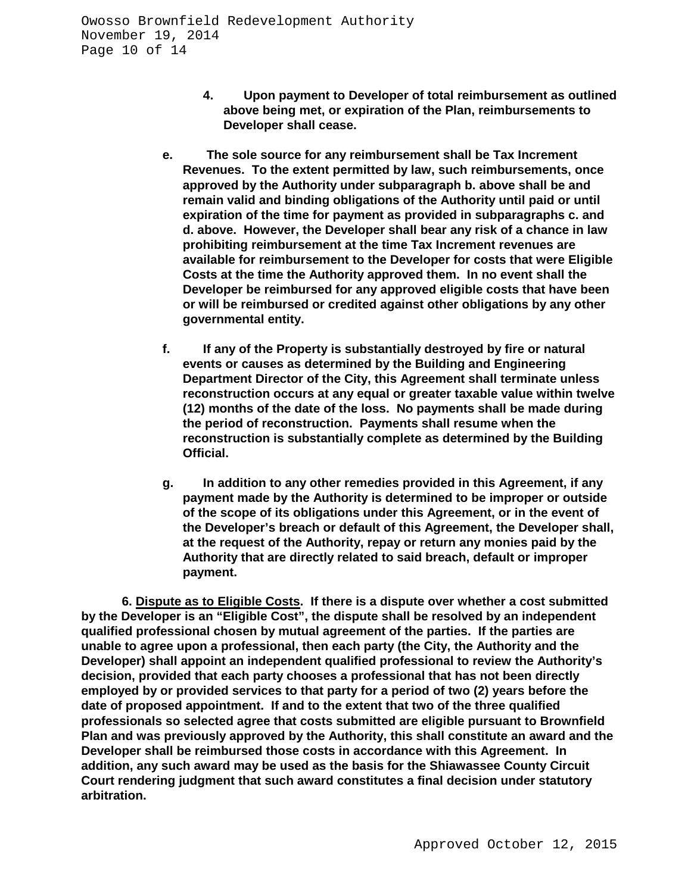- **4. Upon payment to Developer of total reimbursement as outlined above being met, or expiration of the Plan, reimbursements to Developer shall cease.**
- **e. The sole source for any reimbursement shall be Tax Increment Revenues. To the extent permitted by law, such reimbursements, once approved by the Authority under subparagraph b. above shall be and remain valid and binding obligations of the Authority until paid or until expiration of the time for payment as provided in subparagraphs c. and d. above. However, the Developer shall bear any risk of a chance in law prohibiting reimbursement at the time Tax Increment revenues are available for reimbursement to the Developer for costs that were Eligible Costs at the time the Authority approved them. In no event shall the Developer be reimbursed for any approved eligible costs that have been or will be reimbursed or credited against other obligations by any other governmental entity.**
- **f. If any of the Property is substantially destroyed by fire or natural events or causes as determined by the Building and Engineering Department Director of the City, this Agreement shall terminate unless reconstruction occurs at any equal or greater taxable value within twelve (12) months of the date of the loss. No payments shall be made during the period of reconstruction. Payments shall resume when the reconstruction is substantially complete as determined by the Building Official.**
- **g. In addition to any other remedies provided in this Agreement, if any payment made by the Authority is determined to be improper or outside of the scope of its obligations under this Agreement, or in the event of the Developer's breach or default of this Agreement, the Developer shall, at the request of the Authority, repay or return any monies paid by the Authority that are directly related to said breach, default or improper payment.**

**6. Dispute as to Eligible Costs. If there is a dispute over whether a cost submitted by the Developer is an "Eligible Cost", the dispute shall be resolved by an independent qualified professional chosen by mutual agreement of the parties. If the parties are unable to agree upon a professional, then each party (the City, the Authority and the Developer) shall appoint an independent qualified professional to review the Authority's decision, provided that each party chooses a professional that has not been directly employed by or provided services to that party for a period of two (2) years before the date of proposed appointment. If and to the extent that two of the three qualified professionals so selected agree that costs submitted are eligible pursuant to Brownfield Plan and was previously approved by the Authority, this shall constitute an award and the Developer shall be reimbursed those costs in accordance with this Agreement. In addition, any such award may be used as the basis for the Shiawassee County Circuit Court rendering judgment that such award constitutes a final decision under statutory arbitration.**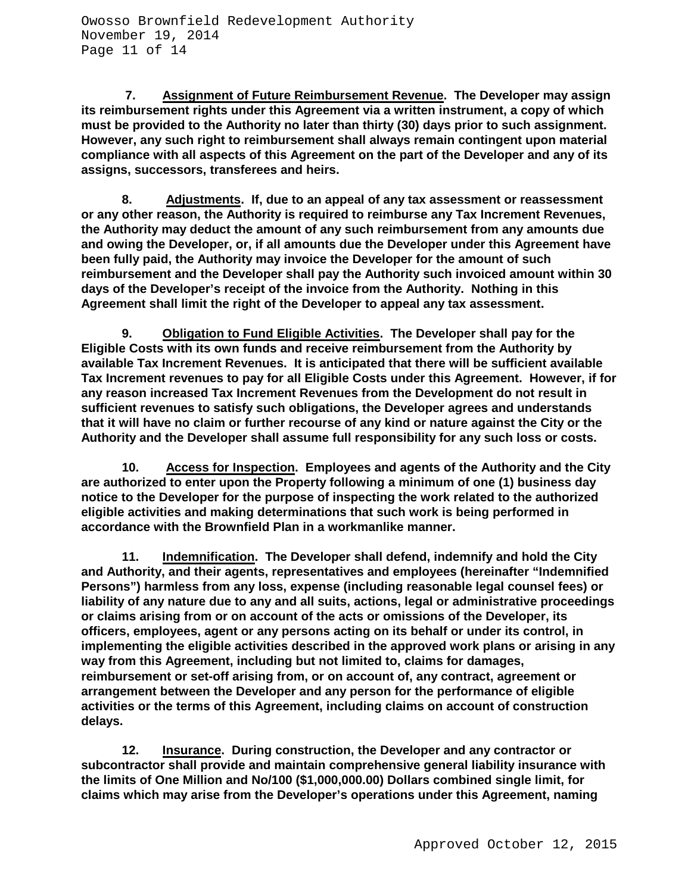**7. Assignment of Future Reimbursement Revenue. The Developer may assign its reimbursement rights under this Agreement via a written instrument, a copy of which must be provided to the Authority no later than thirty (30) days prior to such assignment. However, any such right to reimbursement shall always remain contingent upon material compliance with all aspects of this Agreement on the part of the Developer and any of its assigns, successors, transferees and heirs.** 

**8. Adjustments. If, due to an appeal of any tax assessment or reassessment or any other reason, the Authority is required to reimburse any Tax Increment Revenues, the Authority may deduct the amount of any such reimbursement from any amounts due and owing the Developer, or, if all amounts due the Developer under this Agreement have been fully paid, the Authority may invoice the Developer for the amount of such reimbursement and the Developer shall pay the Authority such invoiced amount within 30 days of the Developer's receipt of the invoice from the Authority. Nothing in this Agreement shall limit the right of the Developer to appeal any tax assessment.**

**9. Obligation to Fund Eligible Activities. The Developer shall pay for the Eligible Costs with its own funds and receive reimbursement from the Authority by available Tax Increment Revenues. It is anticipated that there will be sufficient available Tax Increment revenues to pay for all Eligible Costs under this Agreement. However, if for any reason increased Tax Increment Revenues from the Development do not result in sufficient revenues to satisfy such obligations, the Developer agrees and understands that it will have no claim or further recourse of any kind or nature against the City or the Authority and the Developer shall assume full responsibility for any such loss or costs.**

**10. Access for Inspection. Employees and agents of the Authority and the City are authorized to enter upon the Property following a minimum of one (1) business day notice to the Developer for the purpose of inspecting the work related to the authorized eligible activities and making determinations that such work is being performed in accordance with the Brownfield Plan in a workmanlike manner.**

**11. Indemnification. The Developer shall defend, indemnify and hold the City and Authority, and their agents, representatives and employees (hereinafter "Indemnified Persons") harmless from any loss, expense (including reasonable legal counsel fees) or liability of any nature due to any and all suits, actions, legal or administrative proceedings or claims arising from or on account of the acts or omissions of the Developer, its officers, employees, agent or any persons acting on its behalf or under its control, in implementing the eligible activities described in the approved work plans or arising in any way from this Agreement, including but not limited to, claims for damages, reimbursement or set-off arising from, or on account of, any contract, agreement or arrangement between the Developer and any person for the performance of eligible activities or the terms of this Agreement, including claims on account of construction delays.**

**12. Insurance. During construction, the Developer and any contractor or subcontractor shall provide and maintain comprehensive general liability insurance with the limits of One Million and No/100 (\$1,000,000.00) Dollars combined single limit, for claims which may arise from the Developer's operations under this Agreement, naming**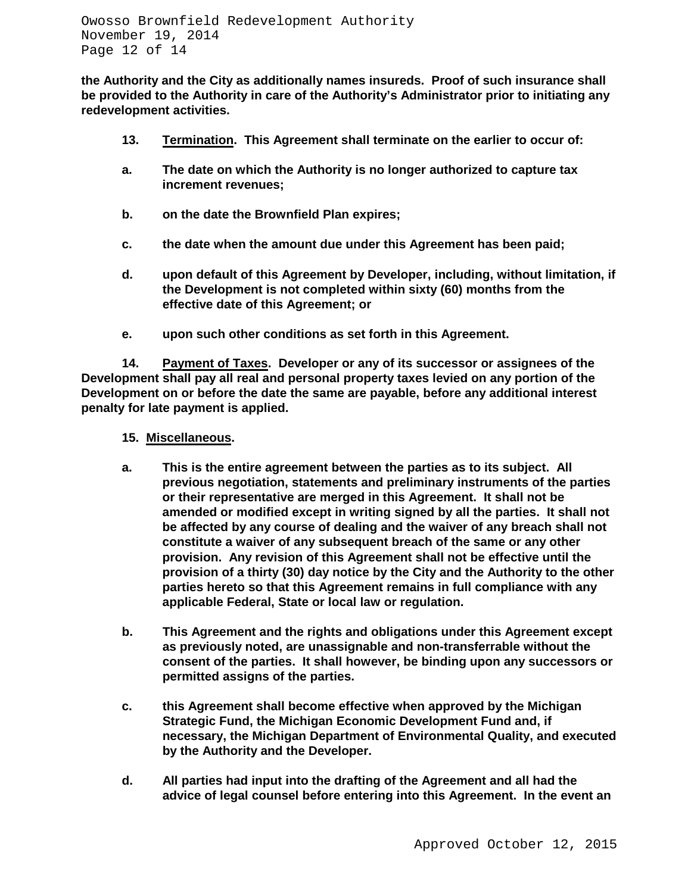**the Authority and the City as additionally names insureds. Proof of such insurance shall be provided to the Authority in care of the Authority's Administrator prior to initiating any redevelopment activities.**

- **13. Termination. This Agreement shall terminate on the earlier to occur of:**
- **a. The date on which the Authority is no longer authorized to capture tax increment revenues;**
- **b. on the date the Brownfield Plan expires;**
- **c. the date when the amount due under this Agreement has been paid;**
- **d. upon default of this Agreement by Developer, including, without limitation, if the Development is not completed within sixty (60) months from the effective date of this Agreement; or**
- **e. upon such other conditions as set forth in this Agreement.**

**14. Payment of Taxes. Developer or any of its successor or assignees of the Development shall pay all real and personal property taxes levied on any portion of the Development on or before the date the same are payable, before any additional interest penalty for late payment is applied.**

- **15. Miscellaneous.**
- **a. This is the entire agreement between the parties as to its subject. All previous negotiation, statements and preliminary instruments of the parties or their representative are merged in this Agreement. It shall not be amended or modified except in writing signed by all the parties. It shall not be affected by any course of dealing and the waiver of any breach shall not constitute a waiver of any subsequent breach of the same or any other provision. Any revision of this Agreement shall not be effective until the provision of a thirty (30) day notice by the City and the Authority to the other parties hereto so that this Agreement remains in full compliance with any applicable Federal, State or local law or regulation.**
- **b. This Agreement and the rights and obligations under this Agreement except as previously noted, are unassignable and non-transferrable without the consent of the parties. It shall however, be binding upon any successors or permitted assigns of the parties.**
- **c. this Agreement shall become effective when approved by the Michigan Strategic Fund, the Michigan Economic Development Fund and, if necessary, the Michigan Department of Environmental Quality, and executed by the Authority and the Developer.**
- **d. All parties had input into the drafting of the Agreement and all had the advice of legal counsel before entering into this Agreement. In the event an**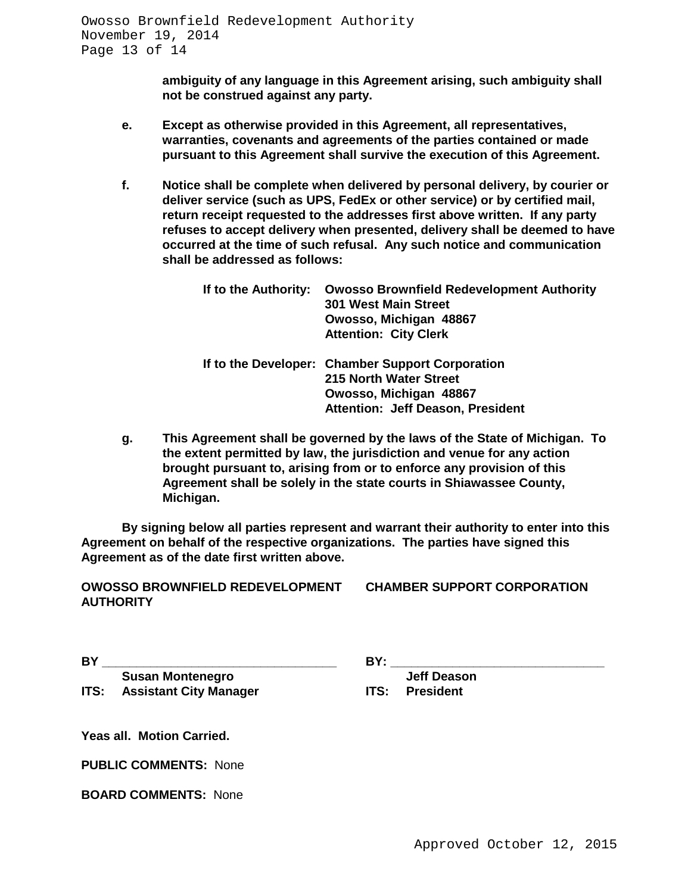**ambiguity of any language in this Agreement arising, such ambiguity shall not be construed against any party.**

- **e. Except as otherwise provided in this Agreement, all representatives, warranties, covenants and agreements of the parties contained or made pursuant to this Agreement shall survive the execution of this Agreement.**
- **f. Notice shall be complete when delivered by personal delivery, by courier or deliver service (such as UPS, FedEx or other service) or by certified mail, return receipt requested to the addresses first above written. If any party refuses to accept delivery when presented, delivery shall be deemed to have occurred at the time of such refusal. Any such notice and communication shall be addressed as follows:**

| If to the Authority: | <b>Owosso Brownfield Redevelopment Authority</b><br><b>301 West Main Street</b><br>Owosso, Michigan 48867<br><b>Attention: City Clerk</b> |
|----------------------|-------------------------------------------------------------------------------------------------------------------------------------------|
|                      | If to the Developer: Chamber Support Corporation<br>215 North Water Street                                                                |
|                      | Owosso, Michigan 48867                                                                                                                    |
|                      | <b>Attention: Jeff Deason, President</b>                                                                                                  |

**g. This Agreement shall be governed by the laws of the State of Michigan. To the extent permitted by law, the jurisdiction and venue for any action brought pursuant to, arising from or to enforce any provision of this Agreement shall be solely in the state courts in Shiawassee County, Michigan.**

**By signing below all parties represent and warrant their authority to enter into this Agreement on behalf of the respective organizations. The parties have signed this Agreement as of the date first written above.**

**OWOSSO BROWNFIELD REDEVELOPMENT CHAMBER SUPPORT CORPORATION AUTHORITY**

**BY \_\_\_\_\_\_\_\_\_\_\_\_\_\_\_\_\_\_\_\_\_\_\_\_\_\_\_\_\_\_\_\_\_\_ BY: \_\_\_\_\_\_\_\_\_\_\_\_\_\_\_\_\_\_\_\_\_\_\_\_\_\_\_\_\_\_\_ Susan Montenegro Jeff Deason ITS: Assistant City Manager** 

**Yeas all. Motion Carried.**

**PUBLIC COMMENTS:** None

**BOARD COMMENTS:** None